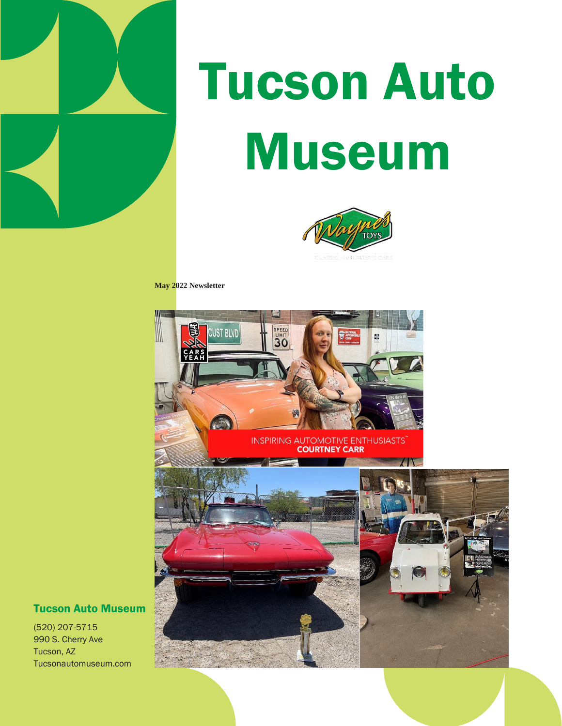

# Tucson Auto Museum



**May 2022 Newsletter**



#### Tucson Auto Museum

(520) 207-5715 990 S. Cherry Ave Tucson, AZ Tucsonautomuseum.com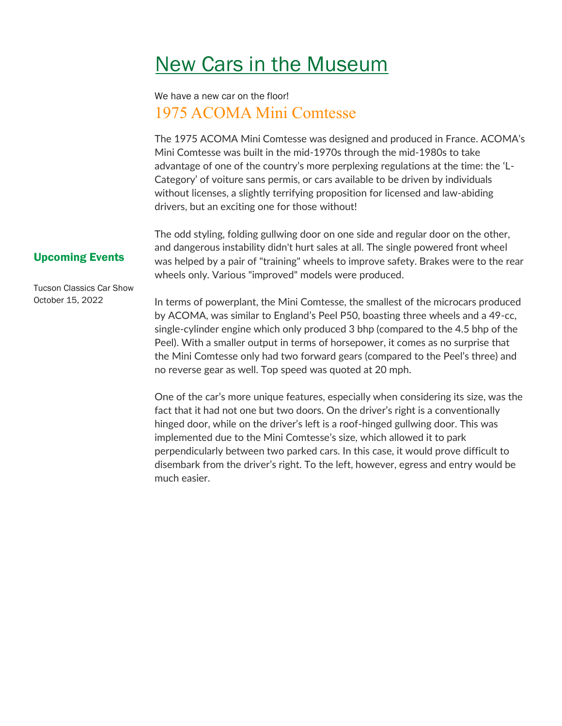### New Cars in the Museum

We have a new car on the floor! 1975 ACOMA Mini Comtesse

The 1975 ACOMA Mini Comtesse was designed and produced in France. ACOMA's Mini Comtesse was built in the mid-1970s through the mid-1980s to take advantage of one of the country's more perplexing regulations at the time: the 'L-Category' of voiture sans permis, or cars available to be driven by individuals without licenses, a slightly terrifying proposition for licensed and law-abiding drivers, but an exciting one for those without!

The odd styling, folding gullwing door on one side and regular door on the other, and dangerous instability didn't hurt sales at all. The single powered front wheel was helped by a pair of "training" wheels to improve safety. Brakes were to the rear wheels only. Various "improved" models were produced.

#### Upcoming Events

Tucson Classics Car Show October 15, 2022

In terms of powerplant, the Mini Comtesse, the smallest of the microcars produced by ACOMA, was similar to England's Peel P50, boasting three wheels and a 49-cc, single-cylinder engine which only produced 3 bhp (compared to the 4.5 bhp of the Peel). With a smaller output in terms of horsepower, it comes as no surprise that the Mini Comtesse only had two forward gears (compared to the Peel's three) and no reverse gear as well. Top speed was quoted at 20 mph.

One of the car's more unique features, especially when considering its size, was the fact that it had not one but two doors. On the driver's right is a conventionally hinged door, while on the driver's left is a roof-hinged gullwing door. This was implemented due to the Mini Comtesse's size, which allowed it to park perpendicularly between two parked cars. In this case, it would prove difficult to disembark from the driver's right. To the left, however, egress and entry would be much easier.